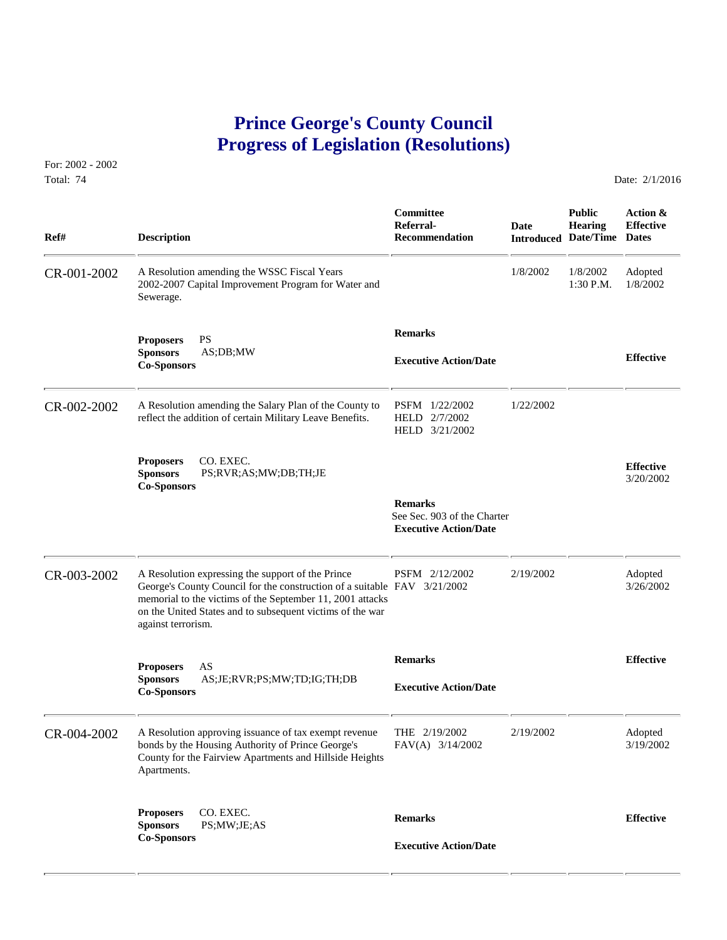## **Prince George's County Council Progress of Legislation (Resolutions)**

For: 2002 - 2002 Total: 74 Date: 2/1/2016

 **Committee Public Action & Referral- Date Hearing Effective Ref# Description Recommendation Introduced Date/Time Dates** CR-001-2002 A Resolution amending the WSSC Fiscal Years 1/8/2002 1/8/2002 Adopted<br>2002-2007 Capital Improvement Program for Water and 1:30 P.M. 1/8/2002 2002-2007 Capital Improvement Program for Water and Sewerage.  **Remarks Proposers** PS **Sponsors** AS;DB;MW **Effective Executive Action/Date Co-Sponsors**  CR-002-2002 A Resolution amending the Salary Plan of the County to PSFM 1/22/2002 1/22/2002<br>reflect the addition of certain Military Leave Benefits. HELD 2/7/2002 reflect the addition of certain Military Leave Benefits. HELD 3/21/2002 **Proposers** CO. EXEC. **Effective Sponsors** PS;RVR;AS;MW;DB;TH;JE 3/20/2002 **Co-Sponsors Remarks** See Sec. 903 of the Charter  **Executive Action/Date** CR-003-2002 A Resolution expressing the support of the Prince PSFM 2/12/2002 2/19/2002 Adopted George's County Council for the construction of a suitable FAV 3/21/2002 3/26/2002 George's County Council for the construction of a suitable FAV 3/21/2002 memorial to the victims of the September 11, 2001 attacks on the United States and to subsequent victims of the war against terrorism.  **Remarks Effective Proposers** AS **Sponsors** AS;JE;RVR;PS;MW;TD;IG;TH;DB **Executive Action/Date Co-Sponsors**  CR-004-2002 A Resolution approving issuance of tax exempt revenue THE 2/19/2002 2/19/2002 Adopted<br>bonds by the Housing Authority of Prince George's FAV(A) 3/14/2002 2/19/2002 3/19/2002 bonds by the Housing Authority of Prince George's County for the Fairview Apartments and Hillside Heights Apartments. **Proposers** CO. EXEC. **Remarks Effective Sponsors** PS;MW;JE;AS **Co-Sponsors Executive Action/Date**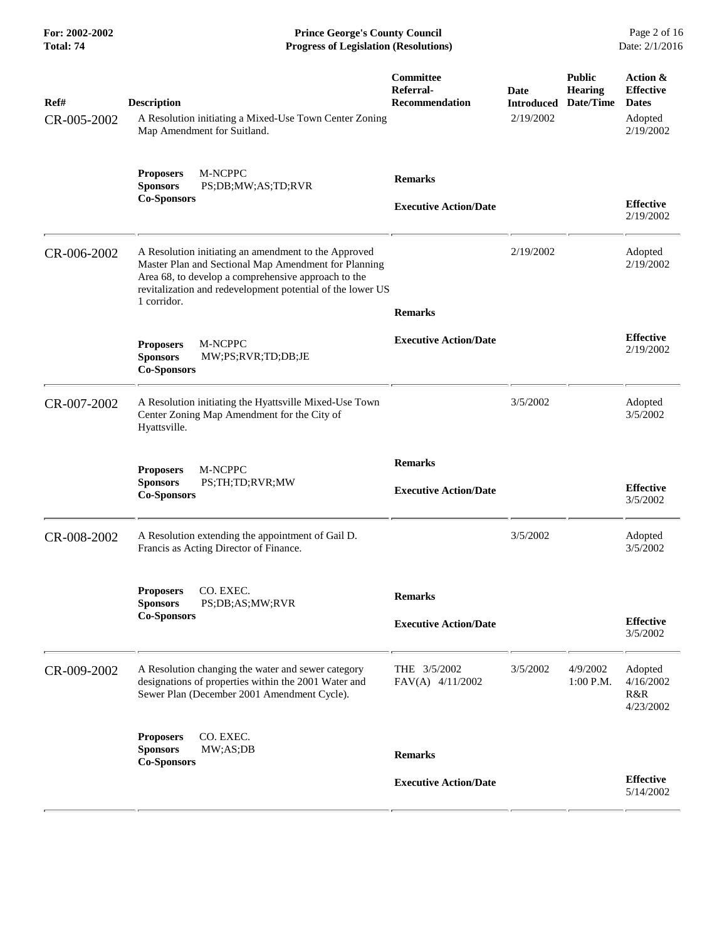**For: 2002-2002 Prince George's County Council** Page 2 of 16<br> **Progress of Legislation (Resolutions)** Date: 2/1/2016 **Total: 74 Progress of Legislation (Resolutions)** 

| Ref#<br>CR-005-2002 | <b>Description</b><br>A Resolution initiating a Mixed-Use Town Center Zoning<br>Map Amendment for Suitland.                                                                                                                                      | Committee<br>Referral-<br><b>Recommendation</b> | Date<br><b>Introduced</b><br>2/19/2002 | <b>Public</b><br><b>Hearing</b><br>Date/Time | <b>Action &amp;</b><br><b>Effective</b><br><b>Dates</b><br>Adopted<br>2/19/2002 |
|---------------------|--------------------------------------------------------------------------------------------------------------------------------------------------------------------------------------------------------------------------------------------------|-------------------------------------------------|----------------------------------------|----------------------------------------------|---------------------------------------------------------------------------------|
|                     | M-NCPPC<br><b>Proposers</b><br><b>Sponsors</b><br>PS;DB;MW;AS;TD;RVR<br><b>Co-Sponsors</b>                                                                                                                                                       | <b>Remarks</b><br><b>Executive Action/Date</b>  |                                        |                                              | <b>Effective</b><br>2/19/2002                                                   |
| CR-006-2002         | A Resolution initiating an amendment to the Approved<br>Master Plan and Sectional Map Amendment for Planning<br>Area 68, to develop a comprehensive approach to the<br>revitalization and redevelopment potential of the lower US<br>1 corridor. | <b>Remarks</b>                                  | 2/19/2002                              |                                              | Adopted<br>2/19/2002                                                            |
|                     | M-NCPPC<br><b>Proposers</b><br><b>Sponsors</b><br>MW;PS;RVR;TD;DB;JE<br><b>Co-Sponsors</b>                                                                                                                                                       | <b>Executive Action/Date</b>                    |                                        |                                              | <b>Effective</b><br>2/19/2002                                                   |
| CR-007-2002         | A Resolution initiating the Hyattsville Mixed-Use Town<br>Center Zoning Map Amendment for the City of<br>Hyattsville.                                                                                                                            |                                                 | 3/5/2002                               |                                              | Adopted<br>3/5/2002                                                             |
|                     | M-NCPPC<br><b>Proposers</b><br><b>Sponsors</b><br>PS;TH;TD;RVR;MW<br><b>Co-Sponsors</b>                                                                                                                                                          | <b>Remarks</b><br><b>Executive Action/Date</b>  |                                        |                                              | <b>Effective</b><br>3/5/2002                                                    |
| CR-008-2002         | A Resolution extending the appointment of Gail D.<br>Francis as Acting Director of Finance.                                                                                                                                                      |                                                 | 3/5/2002                               |                                              | Adopted<br>3/5/2002                                                             |
|                     | CO. EXEC.<br><b>Proposers</b><br>PS;DB;AS;MW;RVR<br><b>Sponsors</b><br><b>Co-Sponsors</b>                                                                                                                                                        | <b>Remarks</b><br><b>Executive Action/Date</b>  |                                        |                                              | <b>Effective</b><br>3/5/2002                                                    |
| CR-009-2002         | A Resolution changing the water and sewer category<br>designations of properties within the 2001 Water and<br>Sewer Plan (December 2001 Amendment Cycle).                                                                                        | THE 3/5/2002<br>FAV(A) 4/11/2002                | 3/5/2002                               | 4/9/2002<br>1:00 P.M.                        | Adopted<br>4/16/2002<br>R&R<br>4/23/2002                                        |
|                     | CO. EXEC.<br><b>Proposers</b><br><b>Sponsors</b><br>MW;AS;DB<br><b>Co-Sponsors</b>                                                                                                                                                               | <b>Remarks</b>                                  |                                        |                                              |                                                                                 |
|                     |                                                                                                                                                                                                                                                  | <b>Executive Action/Date</b>                    |                                        |                                              | <b>Effective</b><br>5/14/2002                                                   |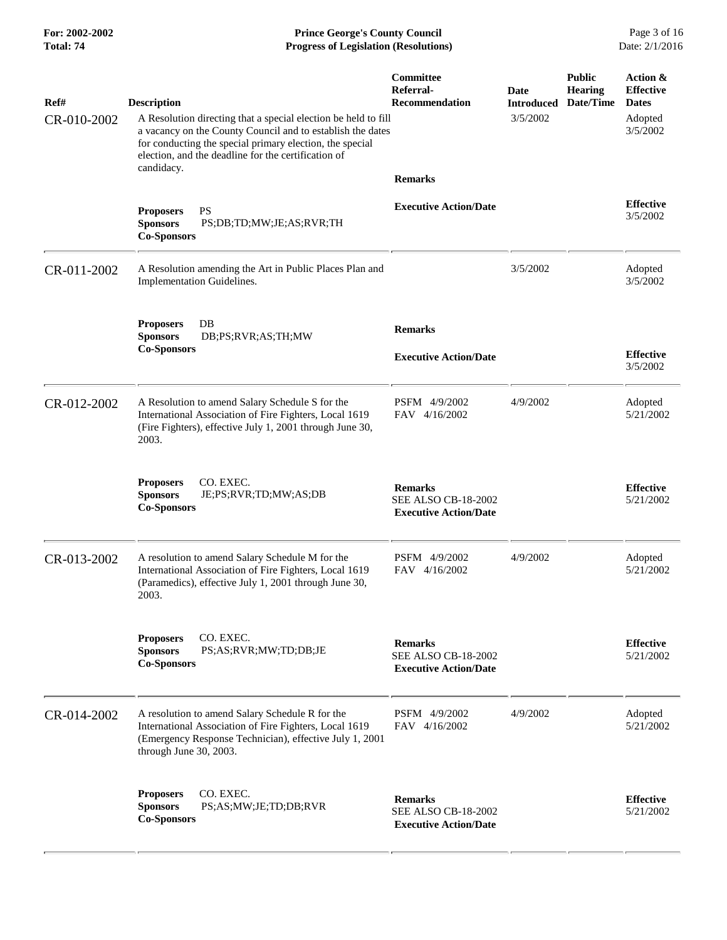**For: 2002-2002 Prince George's County Council** Page 3 of 16<br> **Formal: 74 Progress of Legislation (Resolutions)** Date: 2/1/2016 **Total: 74 Progress of Legislation (Resolutions)** 

| Ref#<br>CR-010-2002 | <b>Description</b><br>A Resolution directing that a special election be held to fill<br>a vacancy on the County Council and to establish the dates<br>for conducting the special primary election, the special<br>election, and the deadline for the certification of<br>candidacy. | Committee<br>Referral-<br><b>Recommendation</b><br><b>Remarks</b>            | Date<br><b>Introduced</b><br>3/5/2002 | <b>Public</b><br><b>Hearing</b><br>Date/Time | Action &<br><b>Effective</b><br><b>Dates</b><br>Adopted<br>3/5/2002 |
|---------------------|-------------------------------------------------------------------------------------------------------------------------------------------------------------------------------------------------------------------------------------------------------------------------------------|------------------------------------------------------------------------------|---------------------------------------|----------------------------------------------|---------------------------------------------------------------------|
|                     | <b>Proposers</b><br><b>PS</b><br><b>Sponsors</b><br>PS;DB;TD;MW;JE;AS;RVR;TH<br><b>Co-Sponsors</b>                                                                                                                                                                                  | <b>Executive Action/Date</b>                                                 |                                       |                                              | <b>Effective</b><br>3/5/2002                                        |
| CR-011-2002         | A Resolution amending the Art in Public Places Plan and<br>Implementation Guidelines.                                                                                                                                                                                               |                                                                              | 3/5/2002                              |                                              | Adopted<br>3/5/2002                                                 |
|                     | DB<br><b>Proposers</b><br><b>Sponsors</b><br>DB;PS;RVR;AS;TH;MW<br><b>Co-Sponsors</b>                                                                                                                                                                                               | <b>Remarks</b><br><b>Executive Action/Date</b>                               |                                       |                                              | <b>Effective</b><br>3/5/2002                                        |
| CR-012-2002         | A Resolution to amend Salary Schedule S for the<br>International Association of Fire Fighters, Local 1619<br>(Fire Fighters), effective July 1, 2001 through June 30,<br>2003.                                                                                                      | PSFM 4/9/2002<br>FAV 4/16/2002                                               | 4/9/2002                              |                                              | Adopted<br>5/21/2002                                                |
|                     | <b>Proposers</b><br>CO. EXEC.<br><b>Sponsors</b><br>JE;PS;RVR;TD;MW;AS;DB<br><b>Co-Sponsors</b>                                                                                                                                                                                     | <b>Remarks</b><br><b>SEE ALSO CB-18-2002</b><br><b>Executive Action/Date</b> |                                       |                                              | <b>Effective</b><br>5/21/2002                                       |
| CR-013-2002         | A resolution to amend Salary Schedule M for the<br>International Association of Fire Fighters, Local 1619<br>(Paramedics), effective July 1, 2001 through June 30,<br>2003.                                                                                                         | PSFM 4/9/2002<br>FAV 4/16/2002                                               | 4/9/2002                              |                                              | Adopted<br>5/21/2002                                                |
|                     | CO. EXEC.<br><b>Proposers</b><br><b>Sponsors</b><br>PS;AS;RVR;MW;TD;DB;JE<br><b>Co-Sponsors</b>                                                                                                                                                                                     | <b>Remarks</b><br><b>SEE ALSO CB-18-2002</b><br><b>Executive Action/Date</b> |                                       |                                              | <b>Effective</b><br>5/21/2002                                       |
| CR-014-2002         | A resolution to amend Salary Schedule R for the<br>International Association of Fire Fighters, Local 1619<br>(Emergency Response Technician), effective July 1, 2001<br>through June 30, 2003.                                                                                      | PSFM 4/9/2002<br>FAV 4/16/2002                                               | 4/9/2002                              |                                              | Adopted<br>5/21/2002                                                |
|                     | CO. EXEC.<br><b>Proposers</b><br><b>Sponsors</b><br>PS;AS;MW;JE;TD;DB;RVR<br><b>Co-Sponsors</b>                                                                                                                                                                                     | <b>Remarks</b><br><b>SEE ALSO CB-18-2002</b><br><b>Executive Action/Date</b> |                                       |                                              | <b>Effective</b><br>5/21/2002                                       |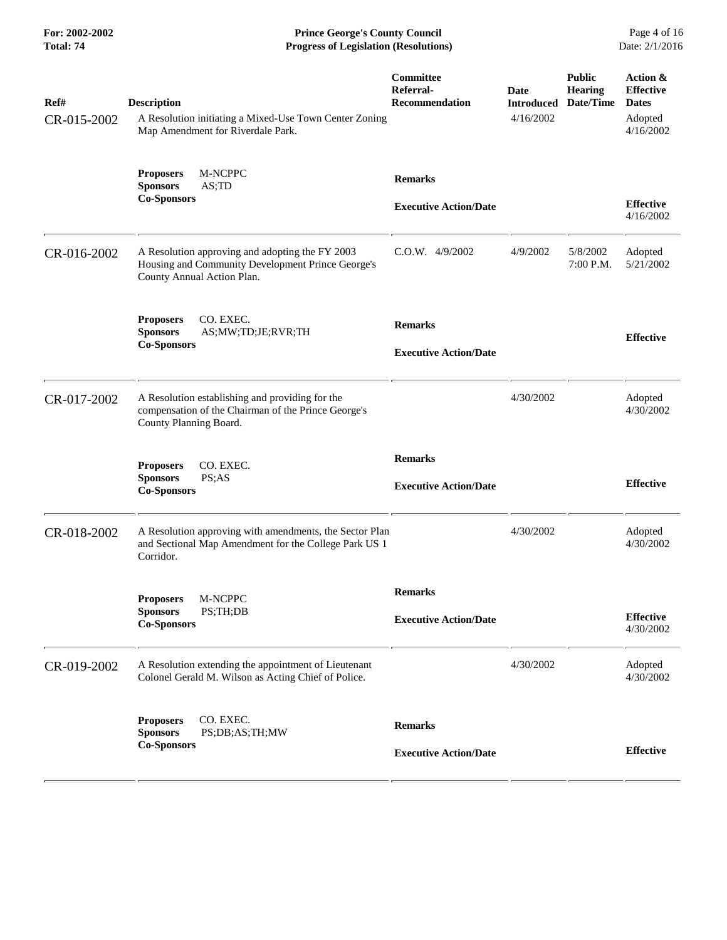**For: 2002-2002 Prince George's County Council** Page 4 of 16<br> **Progress of Legislation (Resolutions)** Date: 2/1/2016 **Total: 74 Progress of Legislation (Resolutions)** 

| Ref#<br>CR-015-2002 | <b>Description</b><br>A Resolution initiating a Mixed-Use Town Center Zoning<br>Map Amendment for Riverdale Park.                  | Committee<br>Referral-<br>Recommendation       | Date<br><b>Introduced</b><br>4/16/2002 | <b>Public</b><br><b>Hearing</b><br>Date/Time | Action &<br><b>Effective</b><br><b>Dates</b><br>Adopted<br>4/16/2002 |
|---------------------|------------------------------------------------------------------------------------------------------------------------------------|------------------------------------------------|----------------------------------------|----------------------------------------------|----------------------------------------------------------------------|
|                     | M-NCPPC<br><b>Proposers</b><br><b>Sponsors</b><br>AS;TD<br><b>Co-Sponsors</b>                                                      | <b>Remarks</b><br><b>Executive Action/Date</b> |                                        |                                              | <b>Effective</b><br>4/16/2002                                        |
| CR-016-2002         | A Resolution approving and adopting the FY 2003<br>Housing and Community Development Prince George's<br>County Annual Action Plan. | $C.O.W.$ 4/9/2002                              | 4/9/2002                               | 5/8/2002<br>7:00 P.M.                        | Adopted<br>5/21/2002                                                 |
|                     | <b>Proposers</b><br>CO. EXEC.<br><b>Sponsors</b><br>AS;MW;TD;JE;RVR;TH<br><b>Co-Sponsors</b>                                       | <b>Remarks</b><br><b>Executive Action/Date</b> |                                        |                                              | <b>Effective</b>                                                     |
| CR-017-2002         | A Resolution establishing and providing for the<br>compensation of the Chairman of the Prince George's<br>County Planning Board.   |                                                | 4/30/2002                              |                                              | Adopted<br>4/30/2002                                                 |
|                     | CO. EXEC.<br><b>Proposers</b><br><b>Sponsors</b><br>PS;AS<br><b>Co-Sponsors</b>                                                    | <b>Remarks</b><br><b>Executive Action/Date</b> |                                        |                                              | <b>Effective</b>                                                     |
| CR-018-2002         | A Resolution approving with amendments, the Sector Plan<br>and Sectional Map Amendment for the College Park US 1<br>Corridor.      |                                                | 4/30/2002                              |                                              | Adopted<br>4/30/2002                                                 |
|                     | Proposers M-NCPPC<br>PS;TH;DB<br><b>Sponsors</b><br><b>Co-Sponsors</b>                                                             | <b>Remarks</b><br><b>Executive Action/Date</b> |                                        |                                              | <b>Effective</b><br>4/30/2002                                        |
| CR-019-2002         | A Resolution extending the appointment of Lieutenant<br>Colonel Gerald M. Wilson as Acting Chief of Police.                        |                                                | 4/30/2002                              |                                              | Adopted<br>4/30/2002                                                 |
|                     | CO. EXEC.<br><b>Proposers</b><br><b>Sponsors</b><br>PS;DB;AS;TH;MW<br><b>Co-Sponsors</b>                                           | <b>Remarks</b><br><b>Executive Action/Date</b> |                                        |                                              | <b>Effective</b>                                                     |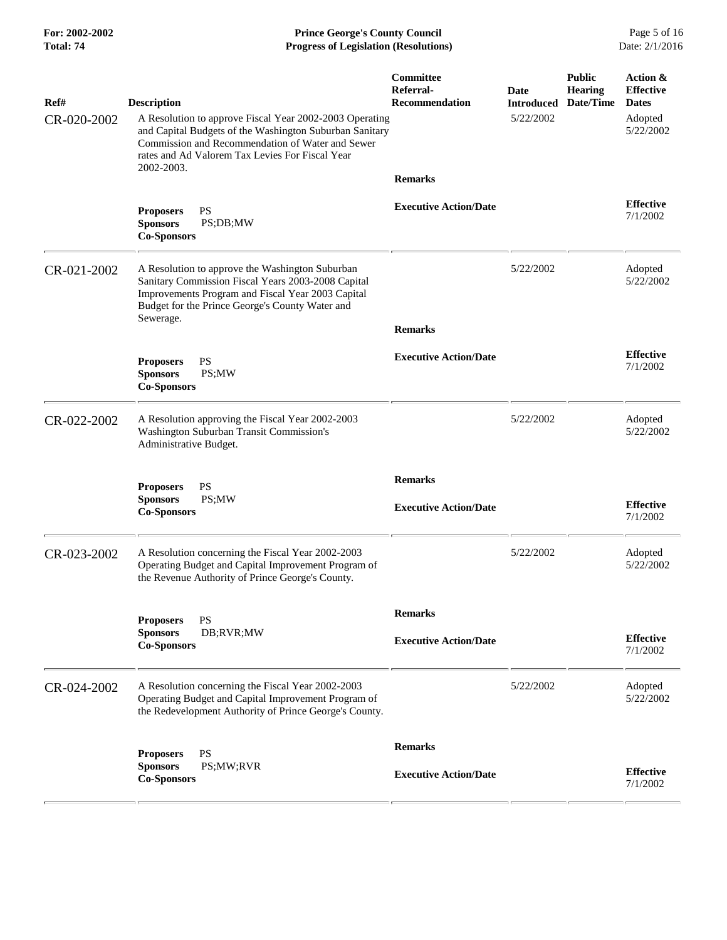**For: 2002-2002 Prince George's County Council** Page 5 of 16<br> **Formal: 74 Progress of Legislation (Resolutions)** Date: 2/1/2016 **Total: 74 Progress of Legislation (Resolutions)** 

| Ref#<br>CR-020-2002 | <b>Description</b><br>A Resolution to approve Fiscal Year 2002-2003 Operating<br>and Capital Budgets of the Washington Suburban Sanitary<br>Commission and Recommendation of Water and Sewer<br>rates and Ad Valorem Tax Levies For Fiscal Year<br>2002-2003. | Committee<br>Referral-<br><b>Recommendation</b><br><b>Remarks</b> | Date<br><b>Introduced</b><br>5/22/2002 | <b>Public</b><br><b>Hearing</b><br>Date/Time | Action &<br><b>Effective</b><br><b>Dates</b><br>Adopted<br>5/22/2002 |
|---------------------|---------------------------------------------------------------------------------------------------------------------------------------------------------------------------------------------------------------------------------------------------------------|-------------------------------------------------------------------|----------------------------------------|----------------------------------------------|----------------------------------------------------------------------|
|                     | <b>PS</b><br><b>Proposers</b><br>PS;DB;MW<br><b>Sponsors</b><br><b>Co-Sponsors</b>                                                                                                                                                                            | <b>Executive Action/Date</b>                                      |                                        |                                              | <b>Effective</b><br>7/1/2002                                         |
| CR-021-2002         | A Resolution to approve the Washington Suburban<br>Sanitary Commission Fiscal Years 2003-2008 Capital<br>Improvements Program and Fiscal Year 2003 Capital<br>Budget for the Prince George's County Water and<br>Sewerage.                                    | <b>Remarks</b>                                                    | 5/22/2002                              |                                              | Adopted<br>5/22/2002                                                 |
|                     | <b>Proposers</b><br><b>PS</b><br><b>Sponsors</b><br>PS;MW<br><b>Co-Sponsors</b>                                                                                                                                                                               | <b>Executive Action/Date</b>                                      |                                        |                                              | <b>Effective</b><br>7/1/2002                                         |
| CR-022-2002         | A Resolution approving the Fiscal Year 2002-2003<br>Washington Suburban Transit Commission's<br>Administrative Budget.                                                                                                                                        |                                                                   | 5/22/2002                              |                                              | Adopted<br>5/22/2002                                                 |
|                     | <b>PS</b><br><b>Proposers</b><br><b>Sponsors</b><br>PS;MW<br><b>Co-Sponsors</b>                                                                                                                                                                               | <b>Remarks</b><br><b>Executive Action/Date</b>                    |                                        |                                              | <b>Effective</b><br>7/1/2002                                         |
| CR-023-2002         | A Resolution concerning the Fiscal Year 2002-2003<br>Operating Budget and Capital Improvement Program of<br>the Revenue Authority of Prince George's County.                                                                                                  |                                                                   | 5/22/2002                              |                                              | Adopted<br>5/22/2002                                                 |
|                     | <b>PS</b><br><b>Proposers</b><br>DB;RVR;MW<br><b>Sponsors</b><br><b>Co-Sponsors</b>                                                                                                                                                                           | <b>Remarks</b><br><b>Executive Action/Date</b>                    |                                        |                                              | <b>Effective</b><br>7/1/2002                                         |
| CR-024-2002         | A Resolution concerning the Fiscal Year 2002-2003<br>Operating Budget and Capital Improvement Program of<br>the Redevelopment Authority of Prince George's County.                                                                                            |                                                                   | 5/22/2002                              |                                              | Adopted<br>5/22/2002                                                 |
|                     | <b>PS</b><br><b>Proposers</b><br><b>Sponsors</b><br>PS;MW;RVR<br><b>Co-Sponsors</b>                                                                                                                                                                           | <b>Remarks</b><br><b>Executive Action/Date</b>                    |                                        |                                              | <b>Effective</b><br>7/1/2002                                         |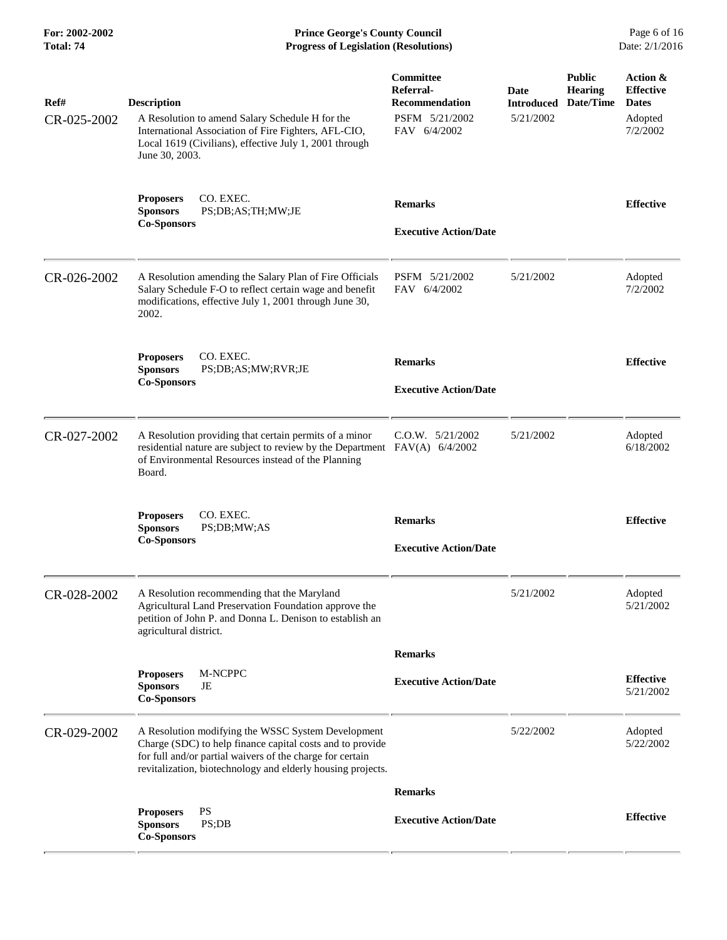**For: 2002-2002 Prince George's County Council** Page 6 of 16<br> **Formal: 74 Progress of Legislation (Resolutions)** Date: 2/1/2016 **Total: 74 Progress of Legislation (Resolutions)** 

| Ref#<br>CR-025-2002 | <b>Description</b><br>A Resolution to amend Salary Schedule H for the<br>International Association of Fire Fighters, AFL-CIO,<br>Local 1619 (Civilians), effective July 1, 2001 through<br>June 30, 2003.                                   | <b>Committee</b><br>Referral-<br><b>Recommendation</b><br>PSFM 5/21/2002<br>FAV 6/4/2002 | Date<br><b>Introduced</b><br>5/21/2002 | <b>Public</b><br><b>Hearing</b><br>Date/Time | Action &<br><b>Effective</b><br><b>Dates</b><br>Adopted<br>7/2/2002 |
|---------------------|---------------------------------------------------------------------------------------------------------------------------------------------------------------------------------------------------------------------------------------------|------------------------------------------------------------------------------------------|----------------------------------------|----------------------------------------------|---------------------------------------------------------------------|
|                     | CO. EXEC.<br><b>Proposers</b><br><b>Sponsors</b><br>PS;DB;AS;TH;MW;JE<br><b>Co-Sponsors</b>                                                                                                                                                 | <b>Remarks</b><br><b>Executive Action/Date</b>                                           |                                        |                                              | <b>Effective</b>                                                    |
| CR-026-2002         | A Resolution amending the Salary Plan of Fire Officials<br>Salary Schedule F-O to reflect certain wage and benefit<br>modifications, effective July 1, 2001 through June 30,<br>2002.                                                       | PSFM 5/21/2002<br>FAV 6/4/2002                                                           | 5/21/2002                              |                                              | Adopted<br>7/2/2002                                                 |
|                     | CO. EXEC.<br><b>Proposers</b><br><b>Sponsors</b><br>PS;DB;AS;MW;RVR;JE<br><b>Co-Sponsors</b>                                                                                                                                                | <b>Remarks</b><br><b>Executive Action/Date</b>                                           |                                        |                                              | <b>Effective</b>                                                    |
| CR-027-2002         | A Resolution providing that certain permits of a minor<br>residential nature are subject to review by the Department FAV(A) 6/4/2002<br>of Environmental Resources instead of the Planning<br>Board.                                        | $C.0.W.$ $5/21/2002$                                                                     | 5/21/2002                              |                                              | Adopted<br>6/18/2002                                                |
|                     | CO. EXEC.<br><b>Proposers</b><br><b>Sponsors</b><br>PS;DB;MW;AS<br><b>Co-Sponsors</b>                                                                                                                                                       | <b>Remarks</b><br><b>Executive Action/Date</b>                                           |                                        |                                              | <b>Effective</b>                                                    |
| CR-028-2002         | A Resolution recommending that the Maryland<br>Agricultural Land Preservation Foundation approve the<br>petition of John P. and Donna L. Denison to establish an<br>agricultural district.                                                  |                                                                                          | 5/21/2002                              |                                              | Adopted<br>5/21/2002                                                |
|                     | M-NCPPC<br><b>Proposers</b><br><b>Sponsors</b><br>JE<br><b>Co-Sponsors</b>                                                                                                                                                                  | <b>Remarks</b><br><b>Executive Action/Date</b>                                           |                                        |                                              | <b>Effective</b><br>5/21/2002                                       |
| CR-029-2002         | A Resolution modifying the WSSC System Development<br>Charge (SDC) to help finance capital costs and to provide<br>for full and/or partial waivers of the charge for certain<br>revitalization, biotechnology and elderly housing projects. |                                                                                          | 5/22/2002                              |                                              | Adopted<br>5/22/2002                                                |
|                     |                                                                                                                                                                                                                                             | <b>Remarks</b>                                                                           |                                        |                                              |                                                                     |
|                     | PS<br><b>Proposers</b><br><b>Sponsors</b><br>PS;DB<br><b>Co-Sponsors</b>                                                                                                                                                                    | <b>Executive Action/Date</b>                                                             |                                        |                                              | <b>Effective</b>                                                    |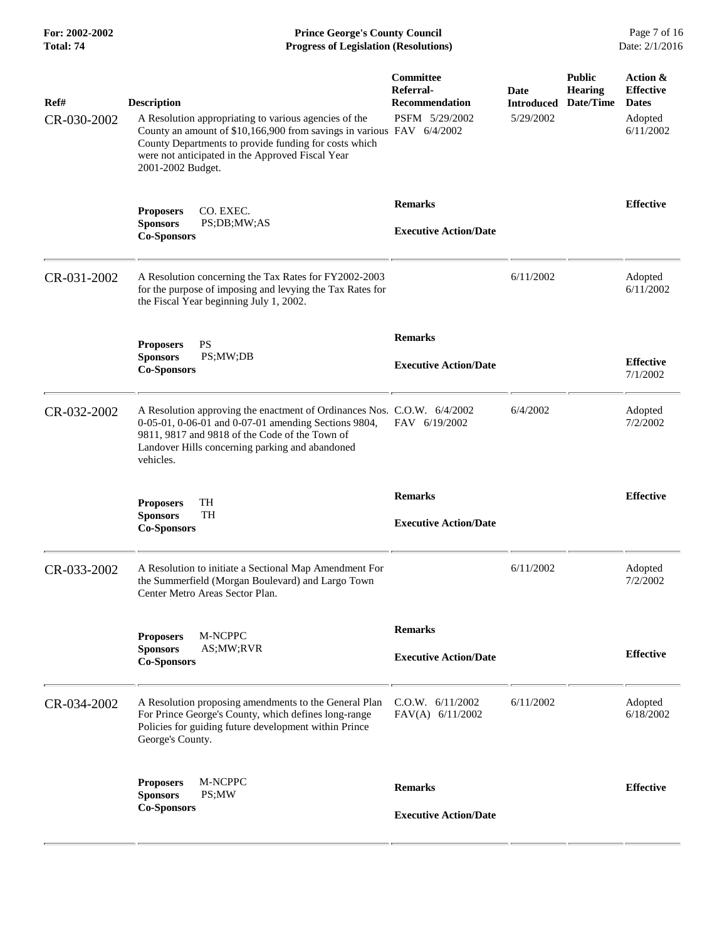**For: 2002-2002 Prince George's County Council** Page 7 of 16<br> **Progress of Legislation (Resolutions)** Date: 2/1/2016 **Total: 74 Progress of Legislation (Resolutions)** 

| Ref#<br>CR-030-2002 | <b>Description</b><br>A Resolution appropriating to various agencies of the<br>County an amount of \$10,166,900 from savings in various FAV 6/4/2002<br>County Departments to provide funding for costs which<br>were not anticipated in the Approved Fiscal Year<br>2001-2002 Budget. | Committee<br>Referral-<br><b>Recommendation</b><br>PSFM 5/29/2002 | Date<br><b>Introduced</b><br>5/29/2002 | <b>Public</b><br><b>Hearing</b><br>Date/Time | Action &<br><b>Effective</b><br><b>Dates</b><br>Adopted<br>6/11/2002 |
|---------------------|----------------------------------------------------------------------------------------------------------------------------------------------------------------------------------------------------------------------------------------------------------------------------------------|-------------------------------------------------------------------|----------------------------------------|----------------------------------------------|----------------------------------------------------------------------|
|                     | CO. EXEC.<br><b>Proposers</b><br>PS;DB;MW;AS<br><b>Sponsors</b><br><b>Co-Sponsors</b>                                                                                                                                                                                                  | <b>Remarks</b><br><b>Executive Action/Date</b>                    |                                        |                                              | <b>Effective</b>                                                     |
| CR-031-2002         | A Resolution concerning the Tax Rates for FY2002-2003<br>for the purpose of imposing and levying the Tax Rates for<br>the Fiscal Year beginning July 1, 2002.                                                                                                                          |                                                                   | 6/11/2002                              |                                              | Adopted<br>6/11/2002                                                 |
|                     | PS<br><b>Proposers</b><br><b>Sponsors</b><br>PS;MW;DB<br><b>Co-Sponsors</b>                                                                                                                                                                                                            | <b>Remarks</b><br><b>Executive Action/Date</b>                    |                                        |                                              | <b>Effective</b><br>7/1/2002                                         |
| CR-032-2002         | A Resolution approving the enactment of Ordinances Nos. C.O.W. 6/4/2002<br>0-05-01, 0-06-01 and 0-07-01 amending Sections 9804,<br>9811, 9817 and 9818 of the Code of the Town of<br>Landover Hills concerning parking and abandoned<br>vehicles.                                      | FAV 6/19/2002                                                     | 6/4/2002                               |                                              | Adopted<br>7/2/2002                                                  |
|                     | TH<br><b>Proposers</b><br><b>Sponsors</b><br>TH<br><b>Co-Sponsors</b>                                                                                                                                                                                                                  | <b>Remarks</b><br><b>Executive Action/Date</b>                    |                                        |                                              | <b>Effective</b>                                                     |
| CR-033-2002         | A Resolution to initiate a Sectional Map Amendment For<br>the Summerfield (Morgan Boulevard) and Largo Town<br>Center Metro Areas Sector Plan.                                                                                                                                         |                                                                   | 6/11/2002                              |                                              | Adopted<br>7/2/2002                                                  |
|                     | M-NCPPC<br><b>Proposers</b><br><b>Sponsors</b><br>AS;MW;RVR<br><b>Co-Sponsors</b>                                                                                                                                                                                                      | <b>Remarks</b><br><b>Executive Action/Date</b>                    |                                        |                                              | <b>Effective</b>                                                     |
| CR-034-2002         | A Resolution proposing amendments to the General Plan<br>For Prince George's County, which defines long-range<br>Policies for guiding future development within Prince<br>George's County.                                                                                             | C.O.W. 6/11/2002<br>FAV(A) 6/11/2002                              | 6/11/2002                              |                                              | Adopted<br>6/18/2002                                                 |
|                     | M-NCPPC<br><b>Proposers</b><br><b>Sponsors</b><br>PS;MW<br><b>Co-Sponsors</b>                                                                                                                                                                                                          | <b>Remarks</b><br><b>Executive Action/Date</b>                    |                                        |                                              | <b>Effective</b>                                                     |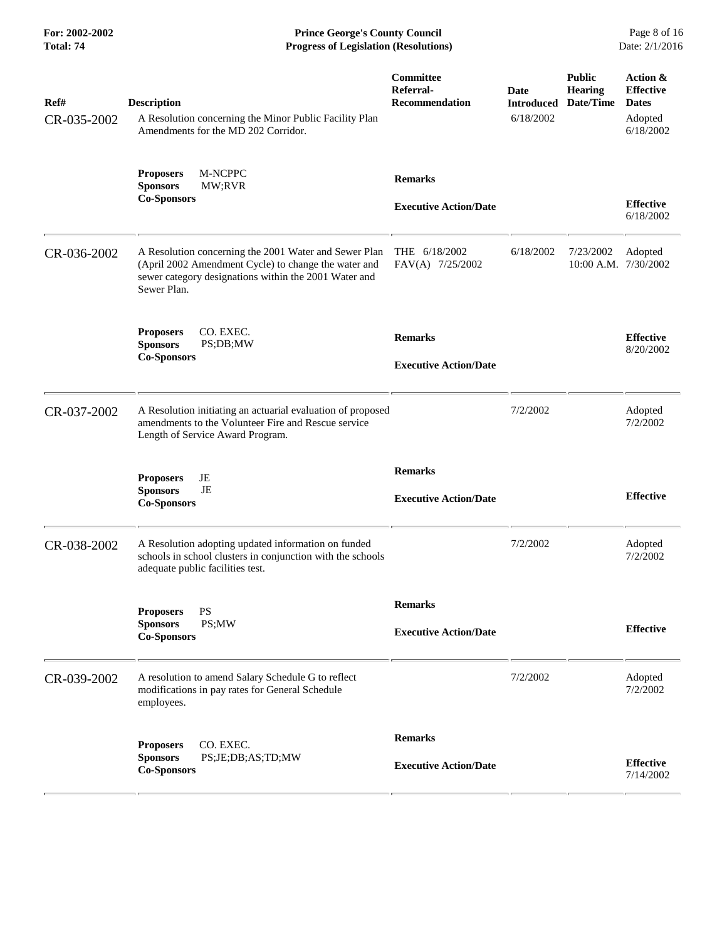**For: 2002-2002 Prince George's County Council** Page 8 of 16<br> **Prince George's County Council** Page 8 of 16<br> **Progress of Legislation (Resolutions)** Date: 2/1/2016 **Total: 74 Progress of Legislation (Resolutions)** 

| Ref#<br>CR-035-2002 | <b>Description</b><br>A Resolution concerning the Minor Public Facility Plan<br>Amendments for the MD 202 Corridor.                                                                   | Committee<br>Referral-<br><b>Recommendation</b> | Date<br><b>Introduced</b><br>6/18/2002 | <b>Public</b><br><b>Hearing</b><br>Date/Time | Action &<br><b>Effective</b><br><b>Dates</b><br>Adopted<br>6/18/2002 |
|---------------------|---------------------------------------------------------------------------------------------------------------------------------------------------------------------------------------|-------------------------------------------------|----------------------------------------|----------------------------------------------|----------------------------------------------------------------------|
|                     | M-NCPPC<br><b>Proposers</b><br><b>Sponsors</b><br>MW;RVR<br><b>Co-Sponsors</b>                                                                                                        | <b>Remarks</b><br><b>Executive Action/Date</b>  |                                        |                                              | <b>Effective</b><br>6/18/2002                                        |
| CR-036-2002         | A Resolution concerning the 2001 Water and Sewer Plan<br>(April 2002 Amendment Cycle) to change the water and<br>sewer category designations within the 2001 Water and<br>Sewer Plan. | THE 6/18/2002<br>FAV(A) 7/25/2002               | 6/18/2002                              | 7/23/2002<br>10:00 A.M. 7/30/2002            | Adopted                                                              |
|                     | CO. EXEC.<br><b>Proposers</b><br><b>Sponsors</b><br>PS;DB;MW<br><b>Co-Sponsors</b>                                                                                                    | <b>Remarks</b><br><b>Executive Action/Date</b>  |                                        |                                              | <b>Effective</b><br>8/20/2002                                        |
| CR-037-2002         | A Resolution initiating an actuarial evaluation of proposed<br>amendments to the Volunteer Fire and Rescue service<br>Length of Service Award Program.                                |                                                 | 7/2/2002                               |                                              | Adopted<br>7/2/2002                                                  |
|                     | JE<br><b>Proposers</b><br>JE<br><b>Sponsors</b><br><b>Co-Sponsors</b>                                                                                                                 | <b>Remarks</b><br><b>Executive Action/Date</b>  |                                        |                                              | <b>Effective</b>                                                     |
| CR-038-2002         | A Resolution adopting updated information on funded<br>schools in school clusters in conjunction with the schools<br>adequate public facilities test.                                 |                                                 | 7/2/2002                               |                                              | Adopted<br>7/2/2002                                                  |
|                     | PS<br><b>Proposers</b><br><b>Sponsors</b><br>PS;MW<br><b>Co-Sponsors</b>                                                                                                              | <b>Remarks</b><br><b>Executive Action/Date</b>  |                                        |                                              | <b>Effective</b>                                                     |
| CR-039-2002         | A resolution to amend Salary Schedule G to reflect<br>modifications in pay rates for General Schedule<br>employees.                                                                   |                                                 | 7/2/2002                               |                                              | Adopted<br>7/2/2002                                                  |
|                     | CO. EXEC.<br><b>Proposers</b><br>PS;JE;DB;AS;TD;MW<br><b>Sponsors</b><br><b>Co-Sponsors</b>                                                                                           | <b>Remarks</b><br><b>Executive Action/Date</b>  |                                        |                                              | <b>Effective</b><br>7/14/2002                                        |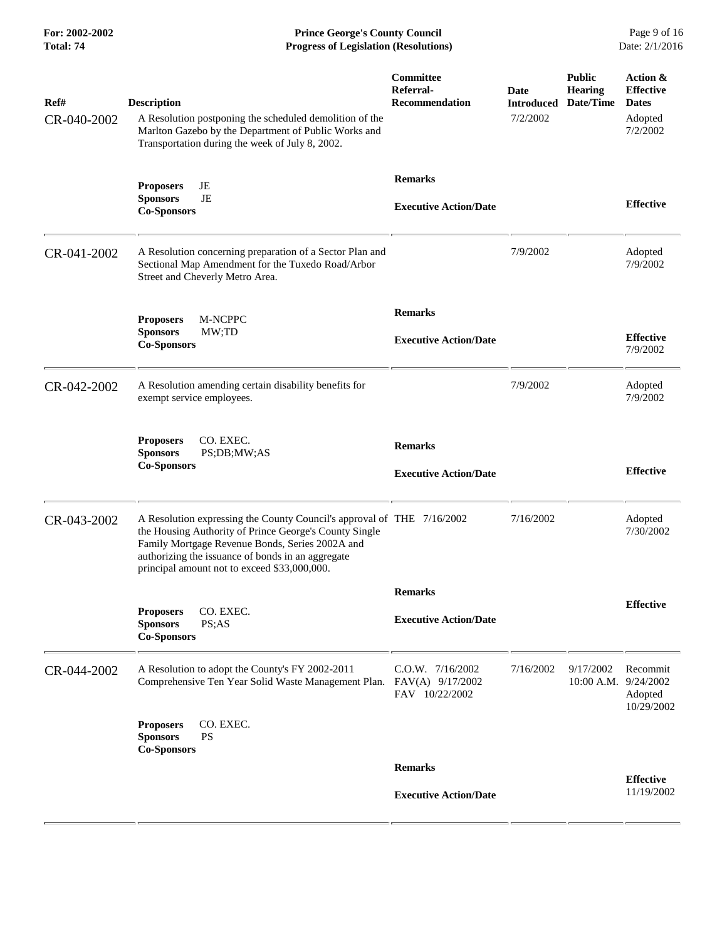**For: 2002-2002 Prince George's County Council** Page 9 of 16<br> **Progress of Legislation (Resolutions)** Date: 2/1/2016 **Total: 74 Progress of Legislation (Resolutions)** 

| Ref#<br>CR-040-2002 | <b>Description</b><br>A Resolution postponing the scheduled demolition of the<br>Marlton Gazebo by the Department of Public Works and<br>Transportation during the week of July 8, 2002.                                                                                                 | Committee<br>Referral-<br><b>Recommendation</b> | Date<br><b>Introduced</b><br>7/2/2002 | <b>Public</b><br><b>Hearing</b><br>Date/Time | Action &<br><b>Effective</b><br><b>Dates</b><br>Adopted<br>7/2/2002 |
|---------------------|------------------------------------------------------------------------------------------------------------------------------------------------------------------------------------------------------------------------------------------------------------------------------------------|-------------------------------------------------|---------------------------------------|----------------------------------------------|---------------------------------------------------------------------|
|                     | JE<br><b>Proposers</b><br>JE<br><b>Sponsors</b><br><b>Co-Sponsors</b>                                                                                                                                                                                                                    | <b>Remarks</b><br><b>Executive Action/Date</b>  |                                       |                                              | <b>Effective</b>                                                    |
| CR-041-2002         | A Resolution concerning preparation of a Sector Plan and<br>Sectional Map Amendment for the Tuxedo Road/Arbor<br>Street and Cheverly Metro Area.                                                                                                                                         |                                                 | 7/9/2002                              |                                              | Adopted<br>7/9/2002                                                 |
|                     | M-NCPPC<br><b>Proposers</b><br><b>Sponsors</b><br>MW;TD<br><b>Co-Sponsors</b>                                                                                                                                                                                                            | <b>Remarks</b><br><b>Executive Action/Date</b>  |                                       |                                              | <b>Effective</b><br>7/9/2002                                        |
| CR-042-2002         | A Resolution amending certain disability benefits for<br>exempt service employees.                                                                                                                                                                                                       |                                                 | 7/9/2002                              |                                              | Adopted<br>7/9/2002                                                 |
|                     | CO. EXEC.<br><b>Proposers</b><br><b>Sponsors</b><br>PS;DB;MW;AS<br><b>Co-Sponsors</b>                                                                                                                                                                                                    | <b>Remarks</b><br><b>Executive Action/Date</b>  |                                       |                                              | <b>Effective</b>                                                    |
| CR-043-2002         | A Resolution expressing the County Council's approval of THE 7/16/2002<br>the Housing Authority of Prince George's County Single<br>Family Mortgage Revenue Bonds, Series 2002A and<br>authorizing the issuance of bonds in an aggregate<br>principal amount not to exceed \$33,000,000. |                                                 | 7/16/2002                             |                                              | Adopted<br>7/30/2002                                                |
|                     |                                                                                                                                                                                                                                                                                          | <b>Remarks</b>                                  |                                       |                                              |                                                                     |
|                     | CO. EXEC.<br><b>Proposers</b><br><b>Sponsors</b><br>PS; AS<br><b>Co-Sponsors</b>                                                                                                                                                                                                         | <b>Executive Action/Date</b>                    |                                       |                                              | <b>Effective</b>                                                    |
| CR-044-2002         | A Resolution to adopt the County's FY 2002-2011<br>Comprehensive Ten Year Solid Waste Management Plan. FAV(A) 9/17/2002                                                                                                                                                                  | C.O.W. 7/16/2002<br>FAV 10/22/2002              | 7/16/2002                             | 9/17/2002<br>$10:00$ A.M.                    | Recommit<br>9/24/2002<br>Adopted<br>10/29/2002                      |
|                     | <b>Proposers</b><br>CO. EXEC.<br><b>Sponsors</b><br><b>PS</b><br><b>Co-Sponsors</b>                                                                                                                                                                                                      |                                                 |                                       |                                              |                                                                     |
|                     |                                                                                                                                                                                                                                                                                          | <b>Remarks</b>                                  |                                       |                                              | <b>Effective</b>                                                    |
|                     |                                                                                                                                                                                                                                                                                          | <b>Executive Action/Date</b>                    |                                       |                                              | 11/19/2002                                                          |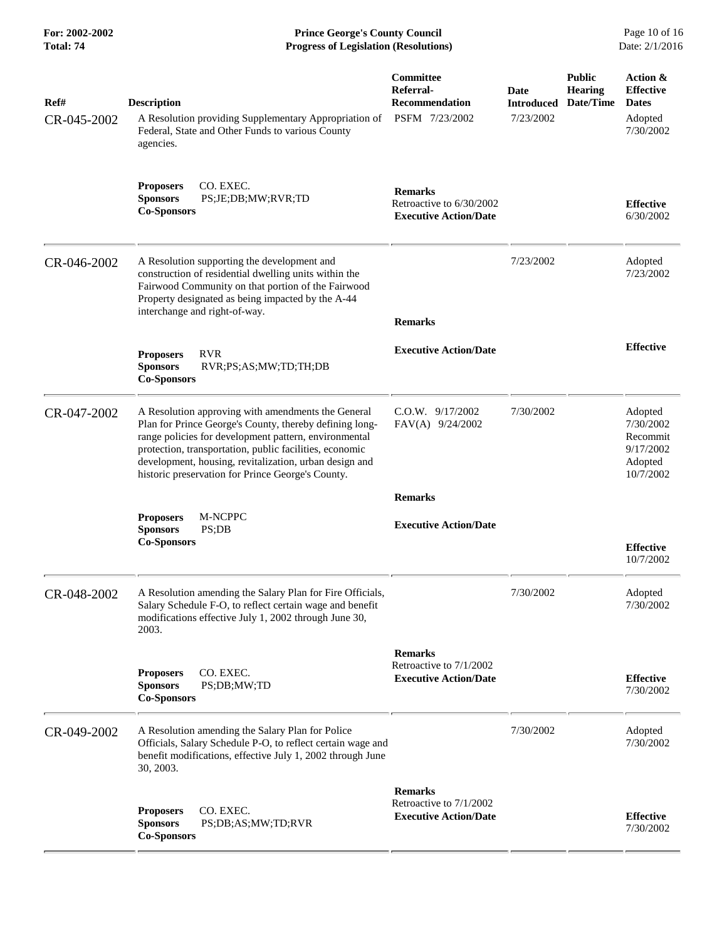| Ref#<br>CR-045-2002 | <b>Description</b><br>A Resolution providing Supplementary Appropriation of<br>Federal, State and Other Funds to various County<br>agencies.                                                                                                                                                                                                     | Committee<br>Referral-<br><b>Recommendation</b><br>PSFM 7/23/2002          | Date<br><b>Introduced</b><br>7/23/2002 | <b>Public</b><br><b>Hearing</b><br>Date/Time | Action &<br><b>Effective</b><br><b>Dates</b><br>Adopted<br>7/30/2002  |
|---------------------|--------------------------------------------------------------------------------------------------------------------------------------------------------------------------------------------------------------------------------------------------------------------------------------------------------------------------------------------------|----------------------------------------------------------------------------|----------------------------------------|----------------------------------------------|-----------------------------------------------------------------------|
|                     | <b>Proposers</b><br>CO. EXEC.<br><b>Sponsors</b><br>PS;JE;DB;MW;RVR;TD<br><b>Co-Sponsors</b>                                                                                                                                                                                                                                                     | <b>Remarks</b><br>Retroactive to 6/30/2002<br><b>Executive Action/Date</b> |                                        |                                              | <b>Effective</b><br>6/30/2002                                         |
| CR-046-2002         | A Resolution supporting the development and<br>construction of residential dwelling units within the<br>Fairwood Community on that portion of the Fairwood<br>Property designated as being impacted by the A-44<br>interchange and right-of-way.                                                                                                 | <b>Remarks</b>                                                             | 7/23/2002                              |                                              | Adopted<br>7/23/2002                                                  |
|                     | <b>RVR</b><br><b>Proposers</b><br><b>Sponsors</b><br>RVR;PS;AS;MW;TD;TH;DB<br><b>Co-Sponsors</b>                                                                                                                                                                                                                                                 | <b>Executive Action/Date</b>                                               |                                        |                                              | <b>Effective</b>                                                      |
| CR-047-2002         | A Resolution approving with amendments the General<br>Plan for Prince George's County, thereby defining long-<br>range policies for development pattern, environmental<br>protection, transportation, public facilities, economic<br>development, housing, revitalization, urban design and<br>historic preservation for Prince George's County. | $C.O.W.$ 9/17/2002<br>FAV(A) 9/24/2002                                     | 7/30/2002                              |                                              | Adopted<br>7/30/2002<br>Recommit<br>9/17/2002<br>Adopted<br>10/7/2002 |
|                     |                                                                                                                                                                                                                                                                                                                                                  | <b>Remarks</b>                                                             |                                        |                                              |                                                                       |
|                     | M-NCPPC<br><b>Proposers</b><br><b>Sponsors</b><br>PS;DB<br><b>Co-Sponsors</b>                                                                                                                                                                                                                                                                    | <b>Executive Action/Date</b>                                               |                                        |                                              | <b>Effective</b><br>10/7/2002                                         |
| CR-048-2002         | A Resolution amending the Salary Plan for Fire Officials,<br>Salary Schedule F-O, to reflect certain wage and benefit<br>modifications effective July 1, 2002 through June 30,<br>2003.                                                                                                                                                          |                                                                            | 7/30/2002                              |                                              | Adopted<br>7/30/2002                                                  |
|                     | CO. EXEC.<br><b>Proposers</b><br><b>Sponsors</b><br>PS;DB;MW;TD<br><b>Co-Sponsors</b>                                                                                                                                                                                                                                                            | <b>Remarks</b><br>Retroactive to 7/1/2002<br><b>Executive Action/Date</b>  |                                        |                                              | <b>Effective</b><br>7/30/2002                                         |
| CR-049-2002         | A Resolution amending the Salary Plan for Police<br>Officials, Salary Schedule P-O, to reflect certain wage and<br>benefit modifications, effective July 1, 2002 through June<br>30, 2003.                                                                                                                                                       |                                                                            | 7/30/2002                              |                                              | Adopted<br>7/30/2002                                                  |
|                     | CO. EXEC.<br><b>Proposers</b><br><b>Sponsors</b><br>PS;DB;AS;MW;TD;RVR<br><b>Co-Sponsors</b>                                                                                                                                                                                                                                                     | <b>Remarks</b><br>Retroactive to 7/1/2002<br><b>Executive Action/Date</b>  |                                        |                                              | <b>Effective</b><br>7/30/2002                                         |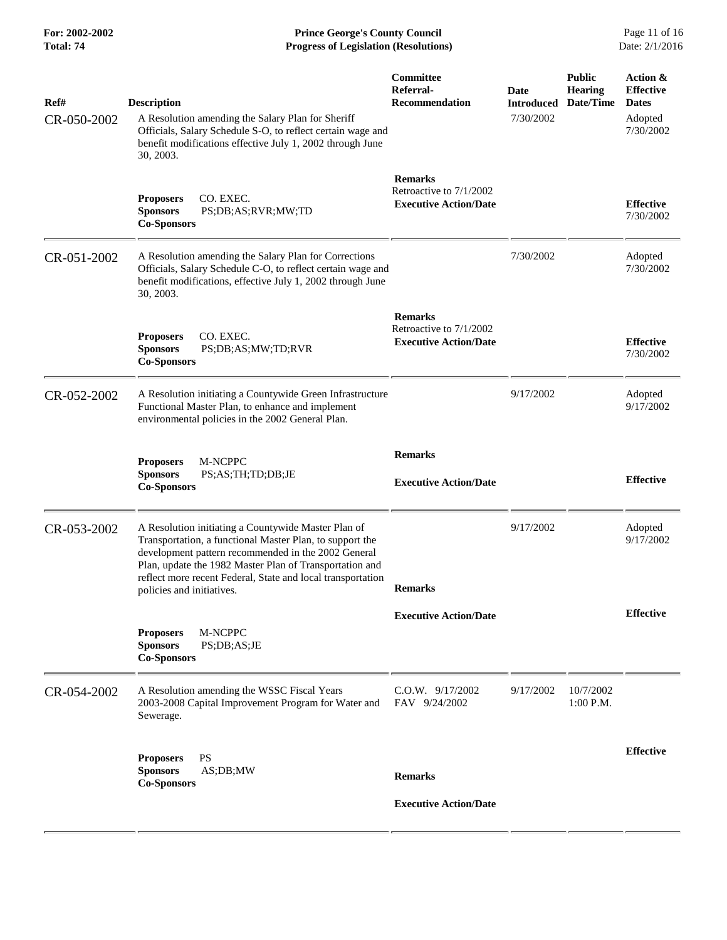**For: 2002-2002 Prince George's County Council** Page 11 of 16<br> **Progress of Legislation (Resolutions)** Date: 2/1/2016 **Total: 74 Progress of Legislation (Resolutions)** 

| Ref#<br>CR-050-2002 | <b>Description</b><br>A Resolution amending the Salary Plan for Sheriff<br>Officials, Salary Schedule S-O, to reflect certain wage and<br>benefit modifications effective July 1, 2002 through June<br>30, 2003.                                                                                                              | Committee<br>Referral-<br><b>Recommendation</b>                           | Date<br><b>Introduced</b><br>7/30/2002 | <b>Public</b><br><b>Hearing</b><br>Date/Time | Action &<br><b>Effective</b><br><b>Dates</b><br>Adopted<br>7/30/2002 |
|---------------------|-------------------------------------------------------------------------------------------------------------------------------------------------------------------------------------------------------------------------------------------------------------------------------------------------------------------------------|---------------------------------------------------------------------------|----------------------------------------|----------------------------------------------|----------------------------------------------------------------------|
|                     | CO. EXEC.<br><b>Proposers</b><br><b>Sponsors</b><br>PS;DB;AS;RVR;MW;TD<br><b>Co-Sponsors</b>                                                                                                                                                                                                                                  | <b>Remarks</b><br>Retroactive to 7/1/2002<br><b>Executive Action/Date</b> |                                        |                                              | <b>Effective</b><br>7/30/2002                                        |
| CR-051-2002         | A Resolution amending the Salary Plan for Corrections<br>Officials, Salary Schedule C-O, to reflect certain wage and<br>benefit modifications, effective July 1, 2002 through June<br>30, 2003.                                                                                                                               |                                                                           | 7/30/2002                              |                                              | Adopted<br>7/30/2002                                                 |
|                     | CO. EXEC.<br><b>Proposers</b><br>PS;DB;AS;MW;TD;RVR<br><b>Sponsors</b><br><b>Co-Sponsors</b>                                                                                                                                                                                                                                  | <b>Remarks</b><br>Retroactive to 7/1/2002<br><b>Executive Action/Date</b> |                                        |                                              | <b>Effective</b><br>7/30/2002                                        |
| CR-052-2002         | A Resolution initiating a Countywide Green Infrastructure<br>Functional Master Plan, to enhance and implement<br>environmental policies in the 2002 General Plan.                                                                                                                                                             |                                                                           | 9/17/2002                              |                                              | Adopted<br>9/17/2002                                                 |
|                     | M-NCPPC<br><b>Proposers</b><br><b>Sponsors</b><br>PS;AS;TH;TD;DB;JE<br><b>Co-Sponsors</b>                                                                                                                                                                                                                                     | <b>Remarks</b><br><b>Executive Action/Date</b>                            |                                        |                                              | <b>Effective</b>                                                     |
| CR-053-2002         | A Resolution initiating a Countywide Master Plan of<br>Transportation, a functional Master Plan, to support the<br>development pattern recommended in the 2002 General<br>Plan, update the 1982 Master Plan of Transportation and<br>reflect more recent Federal, State and local transportation<br>policies and initiatives. | <b>Remarks</b>                                                            | 9/17/2002                              |                                              | Adopted<br>9/17/2002                                                 |
|                     | M-NCPPC<br><b>Proposers</b><br><b>Sponsors</b><br>PS;DB;AS;JE<br><b>Co-Sponsors</b>                                                                                                                                                                                                                                           | <b>Executive Action/Date</b>                                              |                                        |                                              | <b>Effective</b>                                                     |
| CR-054-2002         | A Resolution amending the WSSC Fiscal Years<br>2003-2008 Capital Improvement Program for Water and<br>Sewerage.                                                                                                                                                                                                               | C.O.W. 9/17/2002<br>FAV 9/24/2002                                         | 9/17/2002                              | 10/7/2002<br>1:00 P.M.                       |                                                                      |
|                     | <b>PS</b><br><b>Proposers</b><br><b>Sponsors</b><br>AS;DB;MW<br><b>Co-Sponsors</b>                                                                                                                                                                                                                                            | <b>Remarks</b>                                                            |                                        |                                              | <b>Effective</b>                                                     |
|                     |                                                                                                                                                                                                                                                                                                                               | <b>Executive Action/Date</b>                                              |                                        |                                              |                                                                      |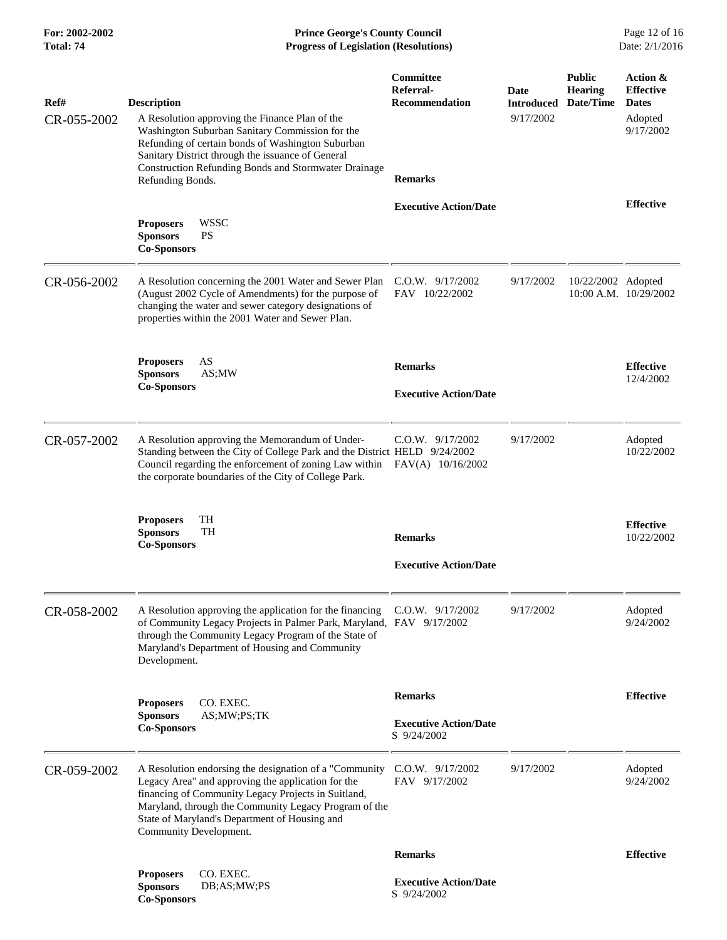**For: 2002-2002 Prince George's County Council** Page 12 of 16<br> **Progress of Legislation (Resolutions)** Date: 2/1/2016 **Total: 74 Progress of Legislation (Resolutions)** 

| Ref#        | <b>Description</b>                                                                                                                                                                                                                                                                                       | Committee<br>Referral-<br><b>Recommendation</b> | Date<br><b>Introduced</b> | <b>Public</b><br><b>Hearing</b><br>Date/Time | Action &<br><b>Effective</b><br><b>Dates</b> |
|-------------|----------------------------------------------------------------------------------------------------------------------------------------------------------------------------------------------------------------------------------------------------------------------------------------------------------|-------------------------------------------------|---------------------------|----------------------------------------------|----------------------------------------------|
| CR-055-2002 | A Resolution approving the Finance Plan of the<br>Washington Suburban Sanitary Commission for the<br>Refunding of certain bonds of Washington Suburban<br>Sanitary District through the issuance of General<br><b>Construction Refunding Bonds and Stormwater Drainage</b>                               |                                                 | 9/17/2002                 |                                              | Adopted<br>9/17/2002                         |
|             | Refunding Bonds.                                                                                                                                                                                                                                                                                         | <b>Remarks</b>                                  |                           |                                              |                                              |
|             | <b>WSSC</b><br><b>Proposers</b><br><b>PS</b><br><b>Sponsors</b><br><b>Co-Sponsors</b>                                                                                                                                                                                                                    | <b>Executive Action/Date</b>                    |                           |                                              | <b>Effective</b>                             |
| CR-056-2002 | A Resolution concerning the 2001 Water and Sewer Plan<br>(August 2002 Cycle of Amendments) for the purpose of<br>changing the water and sewer category designations of<br>properties within the 2001 Water and Sewer Plan.                                                                               | $C.O.W.$ 9/17/2002<br>FAV 10/22/2002            | 9/17/2002                 | 10/22/2002 Adopted                           | 10:00 A.M. 10/29/2002                        |
|             | AS<br><b>Proposers</b>                                                                                                                                                                                                                                                                                   | <b>Remarks</b>                                  |                           |                                              | <b>Effective</b>                             |
|             | AS;MW<br><b>Sponsors</b><br><b>Co-Sponsors</b>                                                                                                                                                                                                                                                           |                                                 |                           |                                              | 12/4/2002                                    |
|             |                                                                                                                                                                                                                                                                                                          | <b>Executive Action/Date</b>                    |                           |                                              |                                              |
| CR-057-2002 | A Resolution approving the Memorandum of Under-<br>Standing between the City of College Park and the District HELD 9/24/2002<br>Council regarding the enforcement of zoning Law within<br>the corporate boundaries of the City of College Park.                                                          | $C.O.W.$ 9/17/2002<br>FAV(A) 10/16/2002         | 9/17/2002                 |                                              | Adopted<br>10/22/2002                        |
|             | TH<br><b>Proposers</b><br><b>TH</b><br><b>Sponsors</b><br><b>Co-Sponsors</b>                                                                                                                                                                                                                             | <b>Remarks</b>                                  |                           |                                              | <b>Effective</b><br>10/22/2002               |
|             |                                                                                                                                                                                                                                                                                                          | <b>Executive Action/Date</b>                    |                           |                                              |                                              |
| CR-058-2002 | A Resolution approving the application for the financing<br>of Community Legacy Projects in Palmer Park, Maryland, FAV 9/17/2002<br>through the Community Legacy Program of the State of<br>Maryland's Department of Housing and Community<br>Development.                                               | $C.O.W.$ 9/17/2002                              | 9/17/2002                 |                                              | Adopted<br>9/24/2002                         |
|             | <b>Proposers</b><br>CO. EXEC.                                                                                                                                                                                                                                                                            | <b>Remarks</b>                                  |                           |                                              | <b>Effective</b>                             |
|             | AS;MW;PS;TK<br><b>Sponsors</b><br><b>Co-Sponsors</b>                                                                                                                                                                                                                                                     | <b>Executive Action/Date</b><br>S 9/24/2002     |                           |                                              |                                              |
| CR-059-2002 | A Resolution endorsing the designation of a "Community"<br>Legacy Area" and approving the application for the<br>financing of Community Legacy Projects in Suitland,<br>Maryland, through the Community Legacy Program of the<br>State of Maryland's Department of Housing and<br>Community Development. | $C.0.W.$ 9/17/2002<br>FAV 9/17/2002             | 9/17/2002                 |                                              | Adopted<br>9/24/2002                         |
|             |                                                                                                                                                                                                                                                                                                          | <b>Remarks</b>                                  |                           |                                              | <b>Effective</b>                             |
|             | CO. EXEC.<br><b>Proposers</b><br><b>Sponsors</b><br>DB;AS;MW;PS<br><b>Co-Sponsors</b>                                                                                                                                                                                                                    | <b>Executive Action/Date</b><br>S 9/24/2002     |                           |                                              |                                              |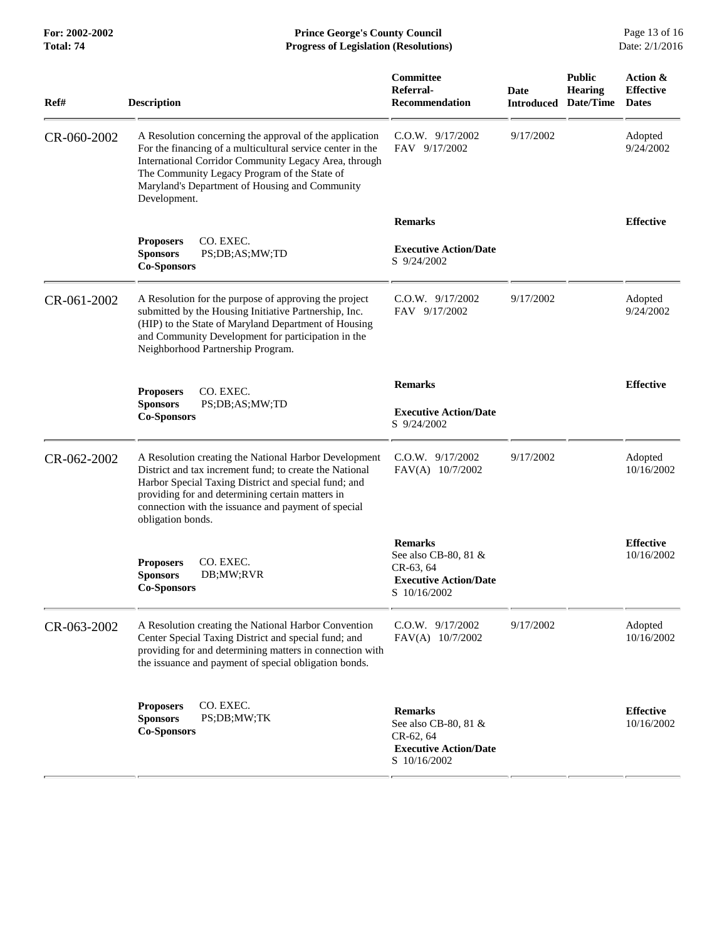| Ref#        | <b>Description</b>                                                                                                                                                                                                                                                                                       | <b>Committee</b><br>Referral-<br>Recommendation                                                     | Date<br><b>Introduced</b> | <b>Public</b><br><b>Hearing</b><br>Date/Time | Action &<br><b>Effective</b><br><b>Dates</b> |
|-------------|----------------------------------------------------------------------------------------------------------------------------------------------------------------------------------------------------------------------------------------------------------------------------------------------------------|-----------------------------------------------------------------------------------------------------|---------------------------|----------------------------------------------|----------------------------------------------|
| CR-060-2002 | A Resolution concerning the approval of the application<br>For the financing of a multicultural service center in the<br>International Corridor Community Legacy Area, through<br>The Community Legacy Program of the State of<br>Maryland's Department of Housing and Community<br>Development.         | $C.O.W.$ 9/17/2002<br>FAV 9/17/2002                                                                 | 9/17/2002                 |                                              | Adopted<br>9/24/2002                         |
|             |                                                                                                                                                                                                                                                                                                          | <b>Remarks</b>                                                                                      |                           |                                              | <b>Effective</b>                             |
|             | CO. EXEC.<br><b>Proposers</b><br><b>Sponsors</b><br>PS;DB;AS;MW;TD<br><b>Co-Sponsors</b>                                                                                                                                                                                                                 | <b>Executive Action/Date</b><br>S 9/24/2002                                                         |                           |                                              |                                              |
| CR-061-2002 | A Resolution for the purpose of approving the project<br>submitted by the Housing Initiative Partnership, Inc.<br>(HIP) to the State of Maryland Department of Housing<br>and Community Development for participation in the<br>Neighborhood Partnership Program.                                        | $C.0.W.$ $9/17/2002$<br>FAV 9/17/2002                                                               | 9/17/2002                 |                                              | Adopted<br>9/24/2002                         |
|             |                                                                                                                                                                                                                                                                                                          | <b>Remarks</b>                                                                                      |                           |                                              | <b>Effective</b>                             |
|             | CO. EXEC.<br><b>Proposers</b><br><b>Sponsors</b><br>PS;DB;AS;MW;TD<br><b>Co-Sponsors</b>                                                                                                                                                                                                                 | <b>Executive Action/Date</b><br>S 9/24/2002                                                         |                           |                                              |                                              |
| CR-062-2002 | A Resolution creating the National Harbor Development<br>District and tax increment fund; to create the National<br>Harbor Special Taxing District and special fund; and<br>providing for and determining certain matters in<br>connection with the issuance and payment of special<br>obligation bonds. | C.O.W. 9/17/2002<br>FAV(A) 10/7/2002                                                                | 9/17/2002                 |                                              | Adopted<br>10/16/2002                        |
|             | CO. EXEC.<br><b>Proposers</b><br><b>Sponsors</b><br>DB;MW;RVR<br><b>Co-Sponsors</b>                                                                                                                                                                                                                      | <b>Remarks</b><br>See also CB-80, 81 &<br>CR-63, 64<br><b>Executive Action/Date</b><br>S 10/16/2002 |                           |                                              | <b>Effective</b><br>10/16/2002               |
| CR-063-2002 | A Resolution creating the National Harbor Convention<br>Center Special Taxing District and special fund; and<br>providing for and determining matters in connection with<br>the issuance and payment of special obligation bonds.                                                                        | C.O.W. 9/17/2002<br>FAV(A) 10/7/2002                                                                | 9/17/2002                 |                                              | Adopted<br>10/16/2002                        |
|             | CO. EXEC.<br><b>Proposers</b><br>PS;DB;MW;TK<br><b>Sponsors</b><br><b>Co-Sponsors</b>                                                                                                                                                                                                                    | <b>Remarks</b><br>See also CB-80, 81 &<br>CR-62, 64<br><b>Executive Action/Date</b><br>S 10/16/2002 |                           |                                              | <b>Effective</b><br>10/16/2002               |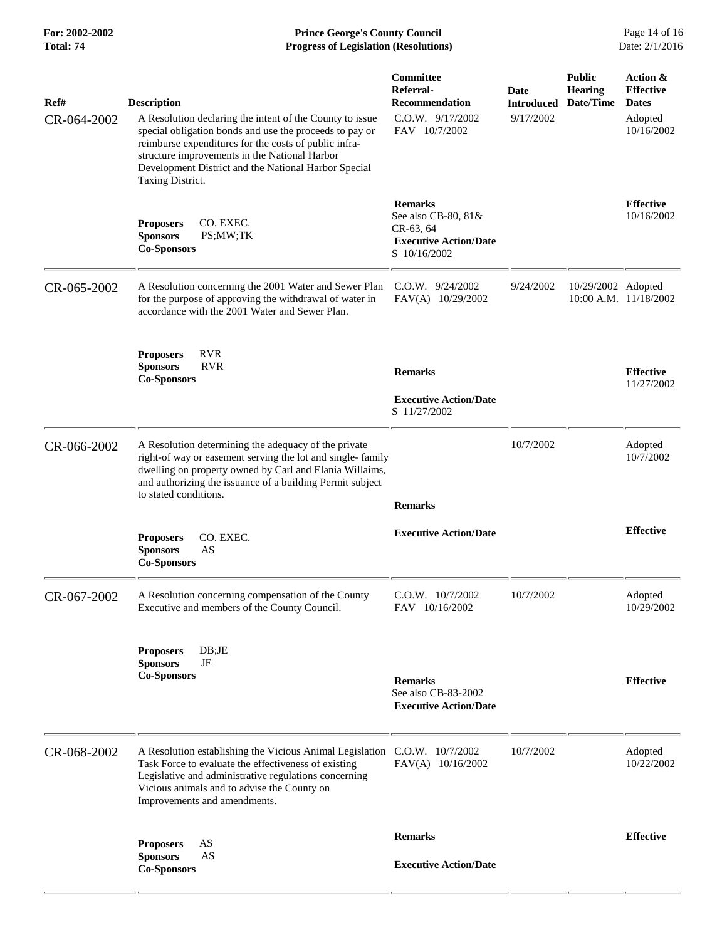**For: 2002-2002 Prince George's County Council** Page 14 of 16<br> **Progress of Legislation (Resolutions)** Date: 2/1/2016 **Total: 74 Progress of Legislation (Resolutions)** 

| Ref#<br>CR-064-2002 | <b>Description</b><br>A Resolution declaring the intent of the County to issue<br>special obligation bonds and use the proceeds to pay or<br>reimburse expenditures for the costs of public infra-<br>structure improvements in the National Harbor<br>Development District and the National Harbor Special<br>Taxing District. | Committee<br>Referral-<br><b>Recommendation</b><br>C.O.W. 9/17/2002<br>FAV 10/7/2002               | Date<br><b>Introduced</b><br>9/17/2002 | <b>Public</b><br><b>Hearing</b><br>Date/Time | Action &<br><b>Effective</b><br><b>Dates</b><br>Adopted<br>10/16/2002 |
|---------------------|---------------------------------------------------------------------------------------------------------------------------------------------------------------------------------------------------------------------------------------------------------------------------------------------------------------------------------|----------------------------------------------------------------------------------------------------|----------------------------------------|----------------------------------------------|-----------------------------------------------------------------------|
|                     | CO. EXEC.<br><b>Proposers</b><br><b>Sponsors</b><br>PS;MW;TK<br><b>Co-Sponsors</b>                                                                                                                                                                                                                                              | <b>Remarks</b><br>See also CB-80, 81&<br>CR-63, 64<br><b>Executive Action/Date</b><br>S 10/16/2002 |                                        |                                              | <b>Effective</b><br>10/16/2002                                        |
| CR-065-2002         | A Resolution concerning the 2001 Water and Sewer Plan<br>for the purpose of approving the withdrawal of water in<br>accordance with the 2001 Water and Sewer Plan.                                                                                                                                                              | $C.O.W.$ 9/24/2002<br>FAV(A) 10/29/2002                                                            | 9/24/2002                              | 10/29/2002 Adopted<br>10:00 A.M. 11/18/2002  |                                                                       |
|                     | <b>RVR</b><br><b>Proposers</b><br><b>RVR</b><br><b>Sponsors</b><br><b>Co-Sponsors</b>                                                                                                                                                                                                                                           | <b>Remarks</b><br><b>Executive Action/Date</b><br>S 11/27/2002                                     |                                        |                                              | <b>Effective</b><br>11/27/2002                                        |
| CR-066-2002         | A Resolution determining the adequacy of the private<br>right-of way or easement serving the lot and single-family<br>dwelling on property owned by Carl and Elania Willaims,<br>and authorizing the issuance of a building Permit subject<br>to stated conditions.                                                             | <b>Remarks</b>                                                                                     | 10/7/2002                              |                                              | Adopted<br>10/7/2002                                                  |
|                     | CO. EXEC.<br><b>Proposers</b><br><b>Sponsors</b><br>AS<br><b>Co-Sponsors</b>                                                                                                                                                                                                                                                    | <b>Executive Action/Date</b>                                                                       |                                        |                                              | <b>Effective</b>                                                      |
| CR-067-2002         | A Resolution concerning compensation of the County<br>Executive and members of the County Council.                                                                                                                                                                                                                              | C.O.W. 10/7/2002<br>FAV 10/16/2002                                                                 | 10/7/2002                              |                                              | Adopted<br>10/29/2002                                                 |
|                     | DB;JE<br><b>Proposers</b><br><b>Sponsors</b><br>JE<br><b>Co-Sponsors</b>                                                                                                                                                                                                                                                        | <b>Remarks</b><br>See also CB-83-2002<br><b>Executive Action/Date</b>                              |                                        |                                              | <b>Effective</b>                                                      |
| CR-068-2002         | A Resolution establishing the Vicious Animal Legislation C.O.W. 10/7/2002<br>Task Force to evaluate the effectiveness of existing<br>Legislative and administrative regulations concerning<br>Vicious animals and to advise the County on<br>Improvements and amendments.                                                       | FAV(A) 10/16/2002                                                                                  | 10/7/2002                              |                                              | Adopted<br>10/22/2002                                                 |
|                     | AS<br><b>Proposers</b><br><b>Sponsors</b><br>AS                                                                                                                                                                                                                                                                                 | <b>Remarks</b><br><b>Executive Action/Date</b>                                                     |                                        |                                              | <b>Effective</b>                                                      |
|                     | <b>Co-Sponsors</b>                                                                                                                                                                                                                                                                                                              |                                                                                                    |                                        |                                              |                                                                       |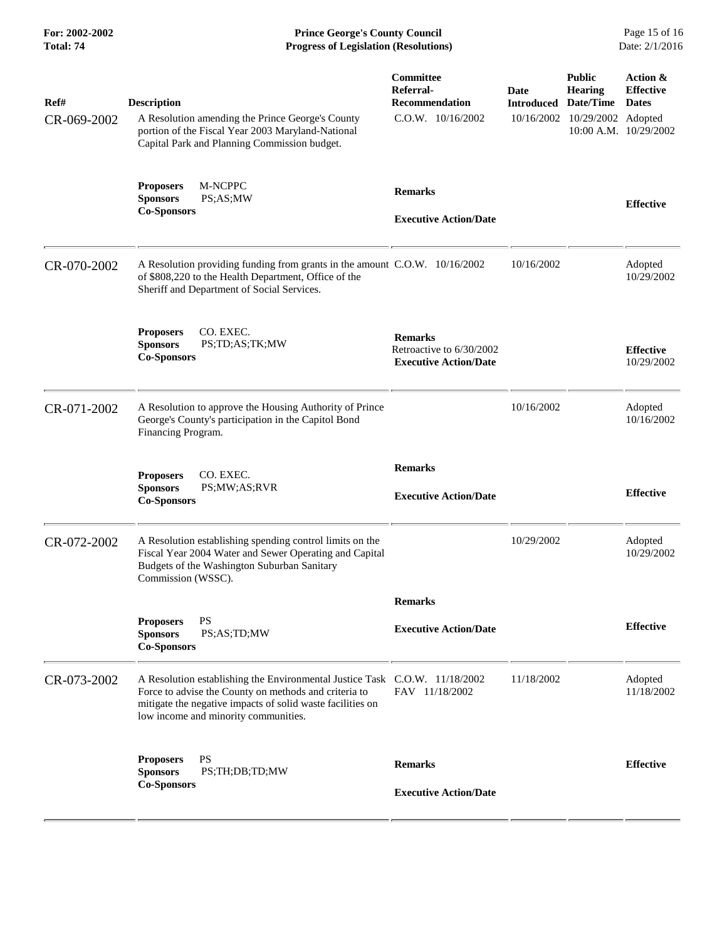**For: 2002-2002 Prince George's County Council** Page 15 of 16<br> **Progress of Legislation (Resolutions)** Date: 2/1/2016 **Total: 74 Progress of Legislation (Resolutions)** 

| Ref#<br>CR-069-2002 | <b>Description</b><br>A Resolution amending the Prince George's County<br>portion of the Fiscal Year 2003 Maryland-National<br>Capital Park and Planning Commission budget.                                                               | Committee<br>Referral-<br><b>Recommendation</b><br>$C.0.W.$ $10/16/2002$   | Date<br><b>Introduced</b><br>10/16/2002 | <b>Public</b><br><b>Hearing</b><br>Date/Time<br>10/29/2002 Adopted | Action &<br><b>Effective</b><br><b>Dates</b><br>10:00 A.M. 10/29/2002 |
|---------------------|-------------------------------------------------------------------------------------------------------------------------------------------------------------------------------------------------------------------------------------------|----------------------------------------------------------------------------|-----------------------------------------|--------------------------------------------------------------------|-----------------------------------------------------------------------|
|                     | M-NCPPC<br><b>Proposers</b><br><b>Sponsors</b><br>PS;AS;MW<br><b>Co-Sponsors</b>                                                                                                                                                          | <b>Remarks</b><br><b>Executive Action/Date</b>                             |                                         |                                                                    | <b>Effective</b>                                                      |
| CR-070-2002         | A Resolution providing funding from grants in the amount C.O.W. 10/16/2002<br>of \$808,220 to the Health Department, Office of the<br>Sheriff and Department of Social Services.                                                          |                                                                            | 10/16/2002                              |                                                                    | Adopted<br>10/29/2002                                                 |
|                     | CO. EXEC.<br><b>Proposers</b><br><b>Sponsors</b><br>PS;TD;AS;TK;MW<br><b>Co-Sponsors</b>                                                                                                                                                  | <b>Remarks</b><br>Retroactive to 6/30/2002<br><b>Executive Action/Date</b> |                                         |                                                                    | <b>Effective</b><br>10/29/2002                                        |
| CR-071-2002         | A Resolution to approve the Housing Authority of Prince<br>George's County's participation in the Capitol Bond<br>Financing Program.                                                                                                      |                                                                            | 10/16/2002                              |                                                                    | Adopted<br>10/16/2002                                                 |
|                     | CO. EXEC.<br><b>Proposers</b><br><b>Sponsors</b><br>PS;MW;AS;RVR<br><b>Co-Sponsors</b>                                                                                                                                                    | <b>Remarks</b><br><b>Executive Action/Date</b>                             |                                         |                                                                    | <b>Effective</b>                                                      |
| CR-072-2002         | A Resolution establishing spending control limits on the<br>Fiscal Year 2004 Water and Sewer Operating and Capital<br>Budgets of the Washington Suburban Sanitary<br>Commission (WSSC).                                                   |                                                                            | 10/29/2002                              |                                                                    | Adopted<br>10/29/2002                                                 |
|                     |                                                                                                                                                                                                                                           | <b>Remarks</b>                                                             |                                         |                                                                    |                                                                       |
|                     | <b>PS</b><br><b>Proposers</b><br>PS;AS;TD;MW<br><b>Sponsors</b><br><b>Co-Sponsors</b>                                                                                                                                                     | <b>Executive Action/Date</b>                                               |                                         |                                                                    | <b>Effective</b>                                                      |
| CR-073-2002         | A Resolution establishing the Environmental Justice Task C.O.W. 11/18/2002<br>Force to advise the County on methods and criteria to<br>mitigate the negative impacts of solid waste facilities on<br>low income and minority communities. | FAV 11/18/2002                                                             | 11/18/2002                              |                                                                    | Adopted<br>11/18/2002                                                 |
|                     | <b>PS</b><br><b>Proposers</b><br><b>Sponsors</b><br>PS;TH;DB;TD;MW<br><b>Co-Sponsors</b>                                                                                                                                                  | <b>Remarks</b><br><b>Executive Action/Date</b>                             |                                         |                                                                    | <b>Effective</b>                                                      |